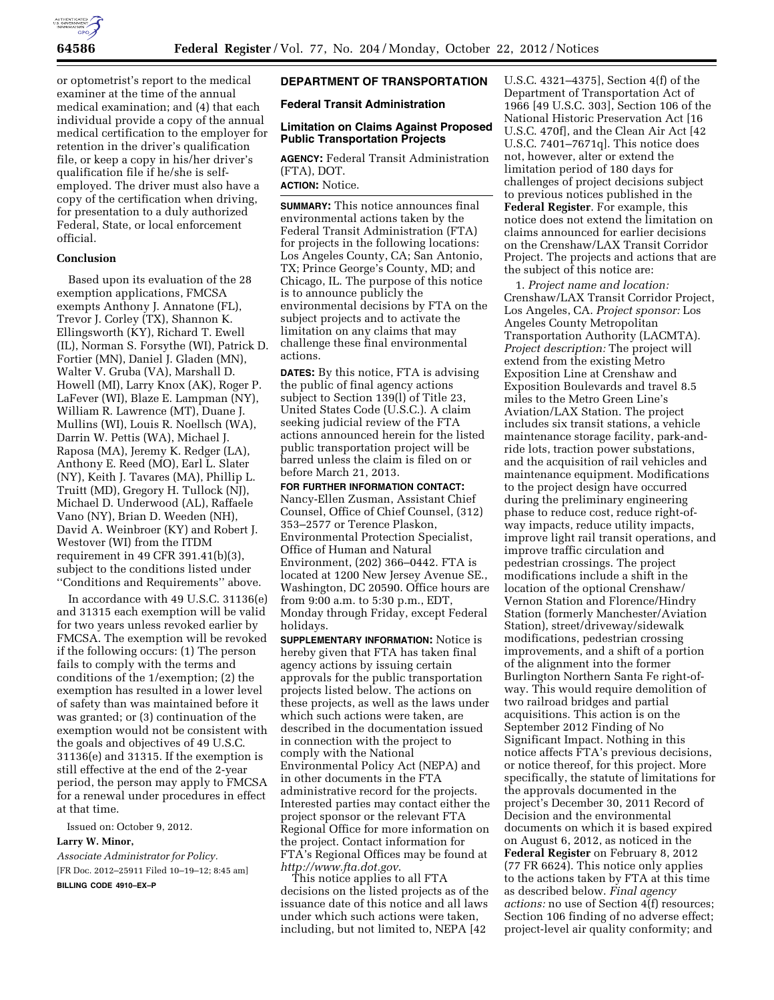

or optometrist's report to the medical examiner at the time of the annual medical examination; and (4) that each individual provide a copy of the annual medical certification to the employer for retention in the driver's qualification file, or keep a copy in his/her driver's qualification file if he/she is selfemployed. The driver must also have a copy of the certification when driving, for presentation to a duly authorized Federal, State, or local enforcement official.

### **Conclusion**

Based upon its evaluation of the 28 exemption applications, FMCSA exempts Anthony J. Annatone (FL), Trevor J. Corley (TX), Shannon K. Ellingsworth (KY), Richard T. Ewell (IL), Norman S. Forsythe (WI), Patrick D. Fortier (MN), Daniel J. Gladen (MN), Walter V. Gruba (VA), Marshall D. Howell (MI), Larry Knox (AK), Roger P. LaFever (WI), Blaze E. Lampman (NY), William R. Lawrence (MT), Duane J. Mullins (WI), Louis R. Noellsch (WA), Darrin W. Pettis (WA), Michael J. Raposa (MA), Jeremy K. Redger (LA), Anthony E. Reed (MO), Earl L. Slater (NY), Keith J. Tavares (MA), Phillip L. Truitt (MD), Gregory H. Tullock (NJ), Michael D. Underwood (AL), Raffaele Vano (NY), Brian D. Weeden (NH), David A. Weinbroer (KY) and Robert J. Westover (WI) from the ITDM requirement in 49 CFR 391.41(b)(3), subject to the conditions listed under ''Conditions and Requirements'' above.

In accordance with 49 U.S.C. 31136(e) and 31315 each exemption will be valid for two years unless revoked earlier by FMCSA. The exemption will be revoked if the following occurs: (1) The person fails to comply with the terms and conditions of the 1/exemption; (2) the exemption has resulted in a lower level of safety than was maintained before it was granted; or (3) continuation of the exemption would not be consistent with the goals and objectives of 49 U.S.C. 31136(e) and 31315. If the exemption is still effective at the end of the 2-year period, the person may apply to FMCSA for a renewal under procedures in effect at that time.

Issued on: October 9, 2012.

#### **Larry W. Minor,**

*Associate Administrator for Policy.*  [FR Doc. 2012–25911 Filed 10–19–12; 8:45 am] **BILLING CODE 4910–EX–P** 

## **DEPARTMENT OF TRANSPORTATION**

**Federal Transit Administration** 

### **Limitation on Claims Against Proposed Public Transportation Projects**

**AGENCY:** Federal Transit Administration (FTA), DOT.

# **ACTION:** Notice.

**SUMMARY:** This notice announces final environmental actions taken by the Federal Transit Administration (FTA) for projects in the following locations: Los Angeles County, CA; San Antonio, TX; Prince George's County, MD; and Chicago, IL. The purpose of this notice is to announce publicly the environmental decisions by FTA on the subject projects and to activate the limitation on any claims that may challenge these final environmental actions.

**DATES:** By this notice, FTA is advising the public of final agency actions subject to Section 139(l) of Title 23, United States Code (U.S.C.). A claim seeking judicial review of the FTA actions announced herein for the listed public transportation project will be barred unless the claim is filed on or before March 21, 2013.

**FOR FURTHER INFORMATION CONTACT:**  Nancy-Ellen Zusman, Assistant Chief Counsel, Office of Chief Counsel, (312) 353–2577 or Terence Plaskon, Environmental Protection Specialist, Office of Human and Natural Environment, (202) 366–0442. FTA is located at 1200 New Jersey Avenue SE., Washington, DC 20590. Office hours are from 9:00 a.m. to 5:30 p.m., EDT, Monday through Friday, except Federal holidays.

**SUPPLEMENTARY INFORMATION:** Notice is hereby given that FTA has taken final agency actions by issuing certain approvals for the public transportation projects listed below. The actions on these projects, as well as the laws under which such actions were taken, are described in the documentation issued in connection with the project to comply with the National Environmental Policy Act (NEPA) and in other documents in the FTA administrative record for the projects. Interested parties may contact either the project sponsor or the relevant FTA Regional Office for more information on the project. Contact information for FTA's Regional Offices may be found at *<http://www.fta.dot.gov>*.

This notice applies to all FTA decisions on the listed projects as of the issuance date of this notice and all laws under which such actions were taken, including, but not limited to, NEPA [42

U.S.C. 4321–4375], Section 4(f) of the Department of Transportation Act of 1966 [49 U.S.C. 303], Section 106 of the National Historic Preservation Act [16 U.S.C. 470f], and the Clean Air Act [42 U.S.C. 7401–7671q]. This notice does not, however, alter or extend the limitation period of 180 days for challenges of project decisions subject to previous notices published in the **Federal Register**. For example, this notice does not extend the limitation on claims announced for earlier decisions on the Crenshaw/LAX Transit Corridor Project. The projects and actions that are the subject of this notice are:

1. *Project name and location:*  Crenshaw/LAX Transit Corridor Project, Los Angeles, CA. *Project sponsor:* Los Angeles County Metropolitan Transportation Authority (LACMTA). *Project description:* The project will extend from the existing Metro Exposition Line at Crenshaw and Exposition Boulevards and travel 8.5 miles to the Metro Green Line's Aviation/LAX Station. The project includes six transit stations, a vehicle maintenance storage facility, park-andride lots, traction power substations, and the acquisition of rail vehicles and maintenance equipment. Modifications to the project design have occurred during the preliminary engineering phase to reduce cost, reduce right-ofway impacts, reduce utility impacts, improve light rail transit operations, and improve traffic circulation and pedestrian crossings. The project modifications include a shift in the location of the optional Crenshaw/ Vernon Station and Florence/Hindry Station (formerly Manchester/Aviation Station), street/driveway/sidewalk modifications, pedestrian crossing improvements, and a shift of a portion of the alignment into the former Burlington Northern Santa Fe right-ofway. This would require demolition of two railroad bridges and partial acquisitions. This action is on the September 2012 Finding of No Significant Impact. Nothing in this notice affects FTA's previous decisions, or notice thereof, for this project. More specifically, the statute of limitations for the approvals documented in the project's December 30, 2011 Record of Decision and the environmental documents on which it is based expired on August 6, 2012, as noticed in the **Federal Register** on February 8, 2012 (77 FR 6624). This notice only applies to the actions taken by FTA at this time as described below. *Final agency actions:* no use of Section 4(f) resources; Section 106 finding of no adverse effect; project-level air quality conformity; and